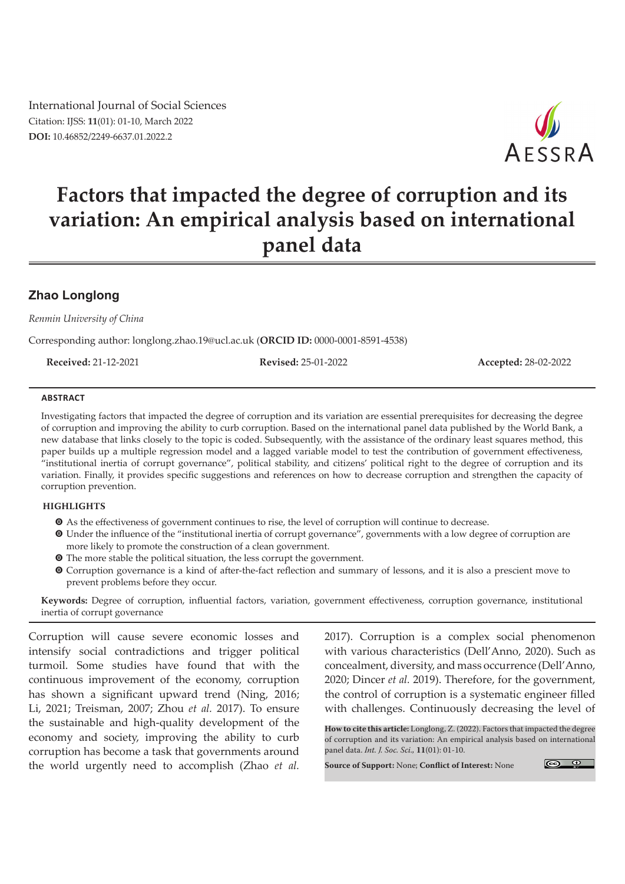International Journal of Social Sciences Citation: IJSS: **11**(01): 01-10, March 2022 **DOI:** 10.46852/2249-6637.01.2022.2



# **Factors that impacted the degree of corruption and its variation: An empirical analysis based on international panel data**

## **Zhao Longlong**

*Renmin University of China*

Corresponding author: longlong.zhao.19@ucl.ac.uk (**ORCID ID:** 0000-0001-8591-4538)

**Received:** 21-12-2021 **Revised:** 25-01-2022 **Accepted:** 28-02-2022

#### **ABSTRACT**

Investigating factors that impacted the degree of corruption and its variation are essential prerequisites for decreasing the degree of corruption and improving the ability to curb corruption. Based on the international panel data published by the World Bank, a new database that links closely to the topic is coded. Subsequently, with the assistance of the ordinary least squares method, this paper builds up a multiple regression model and a lagged variable model to test the contribution of government effectiveness, "institutional inertia of corrupt governance", political stability, and citizens' political right to the degree of corruption and its variation. Finally, it provides specific suggestions and references on how to decrease corruption and strengthen the capacity of corruption prevention.

#### **HIGHLIGHTS**

- $\bullet$  As the effectiveness of government continues to rise, the level of corruption will continue to decrease.
- m Under the influence of the "institutional inertia of corrupt governance", governments with a low degree of corruption are more likely to promote the construction of a clean government.
- $\bullet$  The more stable the political situation, the less corrupt the government.
- m Corruption governance is a kind of after-the-fact reflection and summary of lessons, and it is also a prescient move to prevent problems before they occur.

**Keywords:** Degree of corruption, influential factors, variation, government effectiveness, corruption governance, institutional inertia of corrupt governance

Corruption will cause severe economic losses and intensify social contradictions and trigger political turmoil. Some studies have found that with the continuous improvement of the economy, corruption has shown a significant upward trend (Ning, 2016; Li, 2021; Treisman, 2007; Zhou *et al.* 2017). To ensure the sustainable and high-quality development of the economy and society, improving the ability to curb corruption has become a task that governments around the world urgently need to accomplish (Zhao *et al.*

2017). Corruption is a complex social phenomenon with various characteristics (Dell'Anno, 2020). Such as concealment, diversity, and mass occurrence (Dell'Anno, 2020; Dincer *et al.* 2019). Therefore, for the government, the control of corruption is a systematic engineer filled with challenges. Continuously decreasing the level of

**How to cite this article:** Longlong, Z. (2022). Factors that impacted the degree of corruption and its variation: An empirical analysis based on international panel data. *Int. J. Soc. Sci.,* **11**(01): 01-10.

**Source of Support:** None; **Conflict of Interest:** None

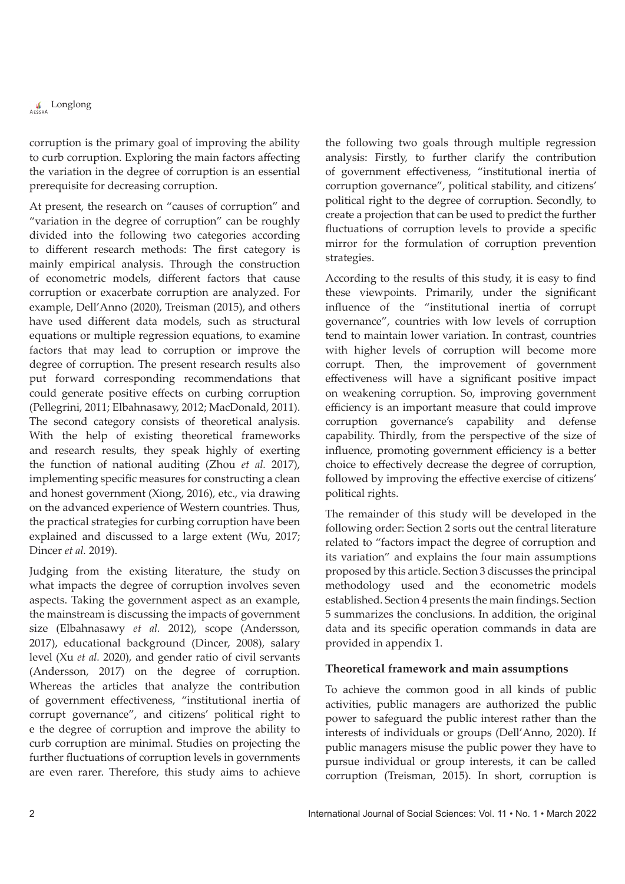corruption is the primary goal of improving the ability to curb corruption. Exploring the main factors affecting the variation in the degree of corruption is an essential prerequisite for decreasing corruption.

At present, the research on "causes of corruption" and "variation in the degree of corruption" can be roughly divided into the following two categories according to different research methods: The first category is mainly empirical analysis. Through the construction of econometric models, different factors that cause corruption or exacerbate corruption are analyzed. For example, Dell'Anno (2020), Treisman (2015), and others have used different data models, such as structural equations or multiple regression equations, to examine factors that may lead to corruption or improve the degree of corruption. The present research results also put forward corresponding recommendations that could generate positive effects on curbing corruption (Pellegrini, 2011; Elbahnasawy, 2012; MacDonald, 2011). The second category consists of theoretical analysis. With the help of existing theoretical frameworks and research results, they speak highly of exerting the function of national auditing (Zhou *et al.* 2017), implementing specific measures for constructing a clean and honest government (Xiong, 2016), etc., via drawing on the advanced experience of Western countries. Thus, the practical strategies for curbing corruption have been explained and discussed to a large extent (Wu, 2017; Dincer *et al.* 2019).

Judging from the existing literature, the study on what impacts the degree of corruption involves seven aspects. Taking the government aspect as an example, the mainstream is discussing the impacts of government size (Elbahnasawy *et al.* 2012), scope (Andersson, 2017), educational background (Dincer, 2008), salary level (Xu *et al.* 2020), and gender ratio of civil servants (Andersson, 2017) on the degree of corruption. Whereas the articles that analyze the contribution of government effectiveness, "institutional inertia of corrupt governance", and citizens' political right to e the degree of corruption and improve the ability to curb corruption are minimal. Studies on projecting the further fluctuations of corruption levels in governments are even rarer. Therefore, this study aims to achieve the following two goals through multiple regression analysis: Firstly, to further clarify the contribution of government effectiveness, "institutional inertia of corruption governance", political stability, and citizens' political right to the degree of corruption. Secondly, to create a projection that can be used to predict the further fluctuations of corruption levels to provide a specific mirror for the formulation of corruption prevention strategies.

According to the results of this study, it is easy to find these viewpoints. Primarily, under the significant influence of the "institutional inertia of corrupt governance", countries with low levels of corruption tend to maintain lower variation. In contrast, countries with higher levels of corruption will become more corrupt. Then, the improvement of government effectiveness will have a significant positive impact on weakening corruption. So, improving government efficiency is an important measure that could improve corruption governance's capability and defense capability. Thirdly, from the perspective of the size of influence, promoting government efficiency is a better choice to effectively decrease the degree of corruption, followed by improving the effective exercise of citizens' political rights.

The remainder of this study will be developed in the following order: Section 2 sorts out the central literature related to "factors impact the degree of corruption and its variation" and explains the four main assumptions proposed by this article. Section 3 discusses the principal methodology used and the econometric models established. Section 4 presents the main findings. Section 5 summarizes the conclusions. In addition, the original data and its specific operation commands in data are provided in appendix 1.

## **Theoretical framework and main assumptions**

To achieve the common good in all kinds of public activities, public managers are authorized the public power to safeguard the public interest rather than the interests of individuals or groups (Dell'Anno, 2020). If public managers misuse the public power they have to pursue individual or group interests, it can be called corruption (Treisman, 2015). In short, corruption is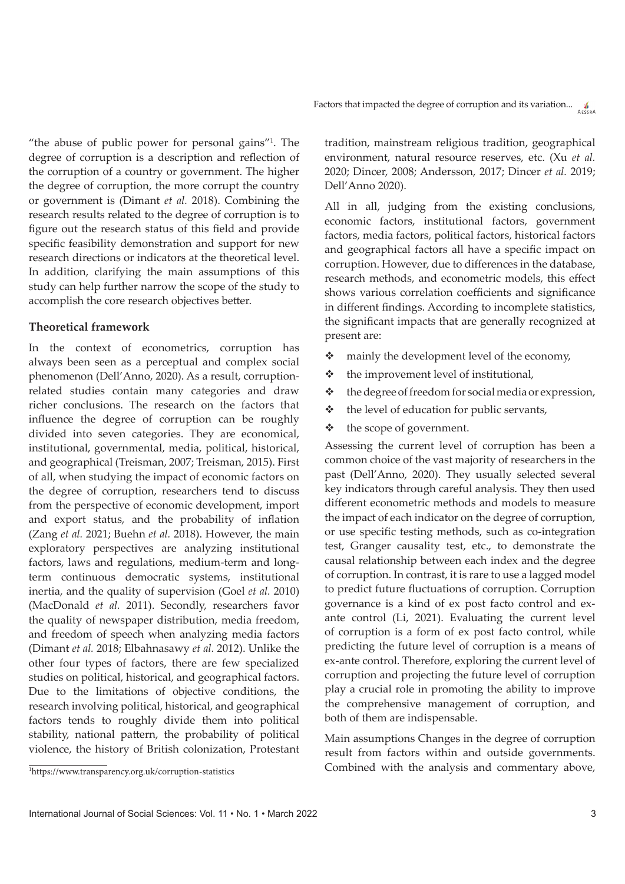Factors that impacted the degree of corruption and its variation...  $\int_{\Delta F \leq R_{AB}}$ 

"the abuse of public power for personal gains"1 . The degree of corruption is a description and reflection of the corruption of a country or government. The higher the degree of corruption, the more corrupt the country or government is (Dimant *et al.* 2018). Combining the research results related to the degree of corruption is to figure out the research status of this field and provide specific feasibility demonstration and support for new research directions or indicators at the theoretical level. In addition, clarifying the main assumptions of this study can help further narrow the scope of the study to accomplish the core research objectives better.

## **Theoretical framework**

In the context of econometrics, corruption has always been seen as a perceptual and complex social phenomenon (Dell'Anno, 2020). As a result, corruptionrelated studies contain many categories and draw richer conclusions. The research on the factors that influence the degree of corruption can be roughly divided into seven categories. They are economical, institutional, governmental, media, political, historical, and geographical (Treisman, 2007; Treisman, 2015). First of all, when studying the impact of economic factors on the degree of corruption, researchers tend to discuss from the perspective of economic development, import and export status, and the probability of inflation (Zang *et al.* 2021; Buehn *et al.* 2018). However, the main exploratory perspectives are analyzing institutional factors, laws and regulations, medium-term and longterm continuous democratic systems, institutional inertia, and the quality of supervision (Goel *et al.* 2010) (MacDonald *et al.* 2011). Secondly, researchers favor the quality of newspaper distribution, media freedom, and freedom of speech when analyzing media factors (Dimant *et al.* 2018; Elbahnasawy *et al.* 2012). Unlike the other four types of factors, there are few specialized studies on political, historical, and geographical factors. Due to the limitations of objective conditions, the research involving political, historical, and geographical factors tends to roughly divide them into political stability, national pattern, the probability of political violence, the history of British colonization, Protestant

tradition, mainstream religious tradition, geographical environment, natural resource reserves, etc. (Xu *et al.* 2020; Dincer, 2008; Andersson, 2017; Dincer *et al.* 2019; Dell'Anno 2020).

All in all, judging from the existing conclusions, economic factors, institutional factors, government factors, media factors, political factors, historical factors and geographical factors all have a specific impact on corruption. However, due to differences in the database, research methods, and econometric models, this effect shows various correlation coefficients and significance in different findings. According to incomplete statistics, the significant impacts that are generally recognized at present are:

- $\cdot$  mainly the development level of the economy,
- $\triangleleft$  the improvement level of institutional,
- $\triangleleft$  the degree of freedom for social media or expression,
- $\triangleleft$  the level of education for public servants,
- the scope of government.

Assessing the current level of corruption has been a common choice of the vast majority of researchers in the past (Dell'Anno, 2020). They usually selected several key indicators through careful analysis. They then used different econometric methods and models to measure the impact of each indicator on the degree of corruption, or use specific testing methods, such as co-integration test, Granger causality test, etc., to demonstrate the causal relationship between each index and the degree of corruption. In contrast, it is rare to use a lagged model to predict future fluctuations of corruption. Corruption governance is a kind of ex post facto control and exante control (Li, 2021). Evaluating the current level of corruption is a form of ex post facto control, while predicting the future level of corruption is a means of ex-ante control. Therefore, exploring the current level of corruption and projecting the future level of corruption play a crucial role in promoting the ability to improve the comprehensive management of corruption, and both of them are indispensable.

Main assumptions Changes in the degree of corruption result from factors within and outside governments. Thttps://www.transparency.org.uk/corruption-statistics Combined with the analysis and commentary above,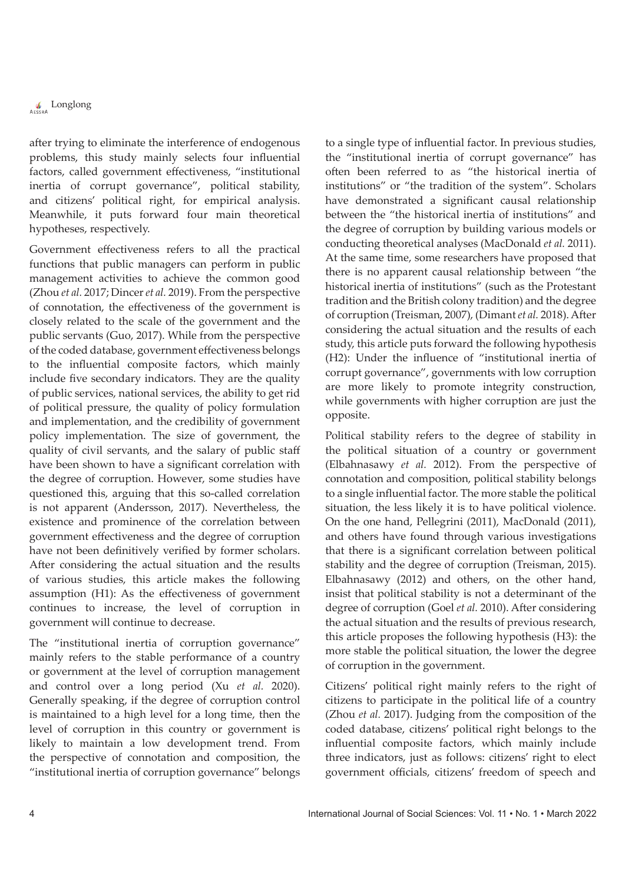# **Conglong**

after trying to eliminate the interference of endogenous problems, this study mainly selects four influential factors, called government effectiveness, "institutional inertia of corrupt governance", political stability, and citizens' political right, for empirical analysis. Meanwhile, it puts forward four main theoretical hypotheses, respectively.

Government effectiveness refers to all the practical functions that public managers can perform in public management activities to achieve the common good (Zhou *et al.* 2017; Dincer *et al.* 2019). From the perspective of connotation, the effectiveness of the government is closely related to the scale of the government and the public servants (Guo, 2017). While from the perspective of the coded database, government effectiveness belongs to the influential composite factors, which mainly include five secondary indicators. They are the quality of public services, national services, the ability to get rid of political pressure, the quality of policy formulation and implementation, and the credibility of government policy implementation. The size of government, the quality of civil servants, and the salary of public staff have been shown to have a significant correlation with the degree of corruption. However, some studies have questioned this, arguing that this so-called correlation is not apparent (Andersson, 2017). Nevertheless, the existence and prominence of the correlation between government effectiveness and the degree of corruption have not been definitively verified by former scholars. After considering the actual situation and the results of various studies, this article makes the following assumption (H1): As the effectiveness of government continues to increase, the level of corruption in government will continue to decrease.

The "institutional inertia of corruption governance" mainly refers to the stable performance of a country or government at the level of corruption management and control over a long period (Xu *et al.* 2020). Generally speaking, if the degree of corruption control is maintained to a high level for a long time, then the level of corruption in this country or government is likely to maintain a low development trend. From the perspective of connotation and composition, the "institutional inertia of corruption governance" belongs

to a single type of influential factor. In previous studies, the "institutional inertia of corrupt governance" has often been referred to as "the historical inertia of institutions" or "the tradition of the system". Scholars have demonstrated a significant causal relationship between the "the historical inertia of institutions" and the degree of corruption by building various models or conducting theoretical analyses (MacDonald *et al.* 2011). At the same time, some researchers have proposed that there is no apparent causal relationship between "the historical inertia of institutions" (such as the Protestant tradition and the British colony tradition) and the degree of corruption (Treisman, 2007), (Dimant *et al.* 2018). After considering the actual situation and the results of each study, this article puts forward the following hypothesis (H2): Under the influence of "institutional inertia of corrupt governance", governments with low corruption are more likely to promote integrity construction, while governments with higher corruption are just the opposite.

Political stability refers to the degree of stability in the political situation of a country or government (Elbahnasawy *et al.* 2012). From the perspective of connotation and composition, political stability belongs to a single influential factor. The more stable the political situation, the less likely it is to have political violence. On the one hand, Pellegrini (2011), MacDonald (2011), and others have found through various investigations that there is a significant correlation between political stability and the degree of corruption (Treisman, 2015). Elbahnasawy (2012) and others, on the other hand, insist that political stability is not a determinant of the degree of corruption (Goel *et al.* 2010). After considering the actual situation and the results of previous research, this article proposes the following hypothesis (H3): the more stable the political situation, the lower the degree of corruption in the government.

Citizens' political right mainly refers to the right of citizens to participate in the political life of a country (Zhou *et al.* 2017). Judging from the composition of the coded database, citizens' political right belongs to the influential composite factors, which mainly include three indicators, just as follows: citizens' right to elect government officials, citizens' freedom of speech and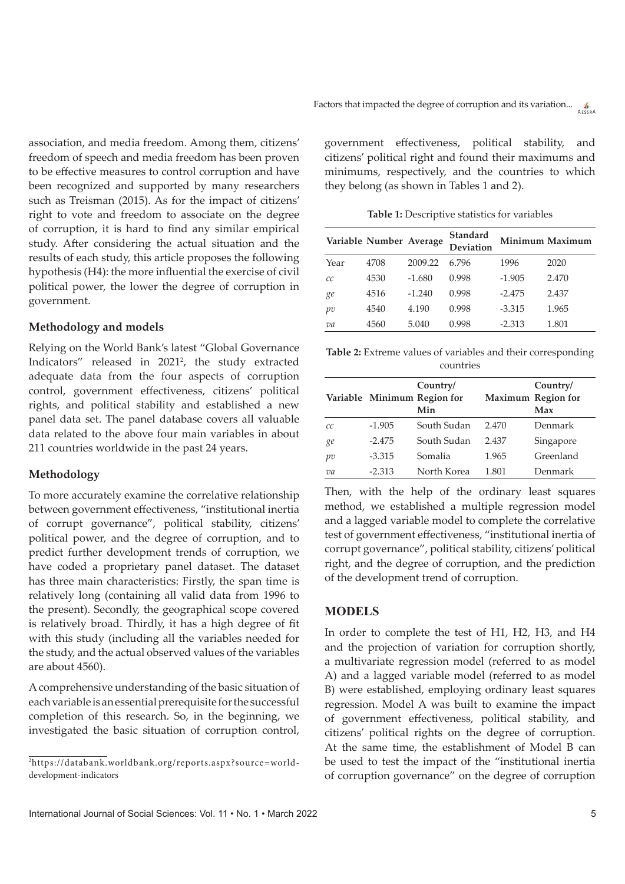association, and media freedom. Among them, citizens' freedom of speech and media freedom has been proven to be effective measures to control corruption and have been recognized and supported by many researchers such as Treisman (2015). As for the impact of citizens' right to vote and freedom to associate on the degree of corruption, it is hard to find any similar empirical study. After considering the actual situation and the results of each study, this article proposes the following hypothesis (H4): the more influential the exercise of civil political power, the lower the degree of corruption in government.

## **Methodology and models**

Relying on the World Bank's latest "Global Governance Indicators" released in 20212 , the study extracted adequate data from the four aspects of corruption control, government effectiveness, citizens' political rights, and political stability and established a new panel data set. The panel database covers all valuable data related to the above four main variables in about 211 countries worldwide in the past 24 years.

#### **Methodology**

To more accurately examine the correlative relationship between government effectiveness, "institutional inertia of corrupt governance", political stability, citizens' political power, and the degree of corruption, and to predict further development trends of corruption, we have coded a proprietary panel dataset. The dataset has three main characteristics: Firstly, the span time is relatively long (containing all valid data from 1996 to the present). Secondly, the geographical scope covered is relatively broad. Thirdly, it has a high degree of fit with this study (including all the variables needed for the study, and the actual observed values of the variables are about 4560).

A comprehensive understanding of the basic situation of each variable is an essential prerequisite for the successful completion of this research. So, in the beginning, we investigated the basic situation of corruption control,

government effectiveness, political stability, and citizens' political right and found their maximums and minimums, respectively, and the countries to which they belong (as shown in Tables 1 and 2).

**Table 1:** Descriptive statistics for variables

|      | Variable Number Average |          | Standard<br>Deviation |          | Minimum Maximum |
|------|-------------------------|----------|-----------------------|----------|-----------------|
| Year | 4708                    | 2009.22  | 6.796                 | 1996     | 2020            |
| СC   | 4530                    | $-1.680$ | 0.998                 | $-1.905$ | 2.470           |
| ge   | 4516                    | $-1.240$ | 0.998                 | $-2.475$ | 2.437           |
| pv   | 4540                    | 4.190    | 0.998                 | $-3.315$ | 1.965           |
| va   | 4560                    | 5.040    | 0.998                 | $-2.313$ | 1.801           |

**Table 2:** Extreme values of variables and their corresponding countries

|    |          | Country/<br>Variable Minimum Region for<br>Min |       | Country/<br>Maximum Region for<br>Max |
|----|----------|------------------------------------------------|-------|---------------------------------------|
| СC | $-1.905$ | South Sudan                                    | 2.470 | Denmark                               |
| ge | $-2.475$ | South Sudan                                    | 2.437 | Singapore                             |
| pv | $-3.315$ | Somalia                                        | 1.965 | Greenland                             |
| va | $-2.313$ | North Korea                                    | 1.801 | Denmark                               |

Then, with the help of the ordinary least squares method, we established a multiple regression model and a lagged variable model to complete the correlative test of government effectiveness, "institutional inertia of corrupt governance", political stability, citizens' political right, and the degree of corruption, and the prediction of the development trend of corruption.

## **MODELS**

In order to complete the test of H1, H2, H3, and H4 and the projection of variation for corruption shortly, a multivariate regression model (referred to as model A) and a lagged variable model (referred to as model B) were established, employing ordinary least squares regression. Model A was built to examine the impact of government effectiveness, political stability, and citizens' political rights on the degree of corruption. At the same time, the establishment of Model B can be used to test the impact of the "institutional inertia of corruption governance" on the degree of corruption

<sup>2</sup> https://databank.worldbank.org/reports.aspx?source=worlddevelopment-indicators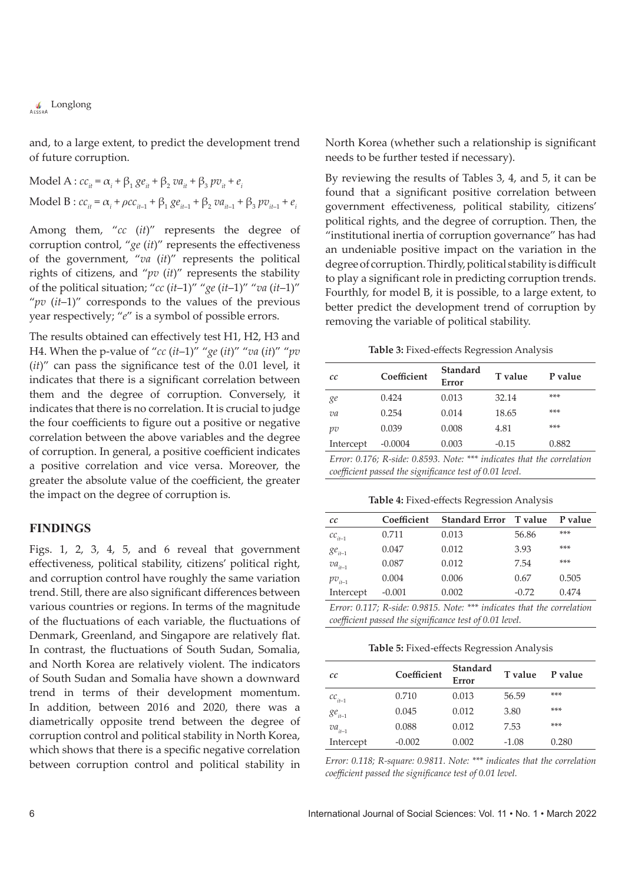**Conglong** 

and, to a large extent, to predict the development trend of future corruption.

Model A :  $cc_{it} = \alpha_i + \beta_1 ge_{it} + \beta_2 va_{it} + \beta_3 pv_{it} + e_i$ Model B :  $cc_{it} = \alpha_i + \rho cc_{it-1} + \beta_1 \, g e_{it-1} + \beta_2 \, va_{it-1} + \beta_3 \, p v_{it-1} + e_i$ 

Among them, "*cc* (*it*)" represents the degree of corruption control, "*ge* (*it*)" represents the effectiveness of the government, "*va* (*it*)" represents the political rights of citizens, and "*pv* (*it*)" represents the stability of the political situation; "*cc* (*it*–1)" "*ge* (*it*–1)" "*va* (*it*–1)" "*pv* (*it*–1)" corresponds to the values of the previous year respectively; "*e*" is a symbol of possible errors.

The results obtained can effectively test H1, H2, H3 and H4. When the p-value of "*cc* (*it*–1)" "*ge* (*it*)" "*va* (*it*)" "*pv* (*it*)" can pass the significance test of the 0.01 level, it indicates that there is a significant correlation between them and the degree of corruption. Conversely, it indicates that there is no correlation. It is crucial to judge the four coefficients to figure out a positive or negative correlation between the above variables and the degree of corruption. In general, a positive coefficient indicates a positive correlation and vice versa. Moreover, the greater the absolute value of the coefficient, the greater the impact on the degree of corruption is.

## **FINDINGS**

Figs. 1, 2, 3, 4, 5, and 6 reveal that government effectiveness, political stability, citizens' political right, and corruption control have roughly the same variation trend. Still, there are also significant differences between various countries or regions. In terms of the magnitude of the fluctuations of each variable, the fluctuations of Denmark, Greenland, and Singapore are relatively flat. In contrast, the fluctuations of South Sudan, Somalia, and North Korea are relatively violent. The indicators of South Sudan and Somalia have shown a downward trend in terms of their development momentum. In addition, between 2016 and 2020, there was a diametrically opposite trend between the degree of corruption control and political stability in North Korea, which shows that there is a specific negative correlation between corruption control and political stability in North Korea (whether such a relationship is significant needs to be further tested if necessary).

By reviewing the results of Tables 3, 4, and 5, it can be found that a significant positive correlation between government effectiveness, political stability, citizens' political rights, and the degree of corruption. Then, the "institutional inertia of corruption governance" has had an undeniable positive impact on the variation in the degree of corruption. Thirdly, political stability is difficult to play a significant role in predicting corruption trends. Fourthly, for model B, it is possible, to a large extent, to better predict the development trend of corruption by removing the variable of political stability.

**Table 3:** Fixed-effects Regression Analysis

| cc        | Coefficient | Standard<br>Error | T value | P value |
|-----------|-------------|-------------------|---------|---------|
| ge        | 0.424       | 0.013             | 32.14   | $***$   |
| va        | 0.254       | 0.014             | 18.65   | $***$   |
| pv        | 0.039       | 0.008             | 4.81    | $***$   |
| Intercept | $-0.0004$   | 0.003             | $-0.15$ | 0.882   |

*Error: 0.176; R-side: 0.8593. Note: \*\*\* indicates that the correlation coefficient passed the significance test of 0.01 level.*

**Table 4:** Fixed-effects Regression Analysis

| cc           | Coefficient | <b>Standard Error</b> T value                                                                   |         | P value  |
|--------------|-------------|-------------------------------------------------------------------------------------------------|---------|----------|
| $cc_{it-1}$  | 0.711       | 0.013                                                                                           | 56.86   | $***$    |
| $ge_{it-1}$  | 0.047       | 0.012                                                                                           | 3.93    | ***      |
| $va_{it-1}$  | 0.087       | 0.012                                                                                           | 7.54    | ***      |
| $pv_{it-1}$  | 0.004       | 0.006                                                                                           | 0.67    | 0.505    |
| Intercept    | $-0.001$    | 0.002                                                                                           | $-0.72$ | 0.474    |
| $\mathbf{r}$ |             | $\alpha$ a a $\pi$ . It is a consequent to the set of the set of the set of the set of $\alpha$ |         | $\cdots$ |

*Error: 0.117; R-side: 0.9815. Note: \*\*\* indicates that the correlation coefficient passed the significance test of 0.01 level.*

**Table 5:** Fixed-effects Regression Analysis

| cc          | Coefficient | <b>Standard</b><br>Error | T value | P value |
|-------------|-------------|--------------------------|---------|---------|
| $cc_{it-1}$ | 0.710       | 0.013                    | 56.59   | ***     |
| $ge_{it-1}$ | 0.045       | 0.012                    | 3.80    | $***$   |
| $va_{it-1}$ | 0.088       | 0.012                    | 7.53    | $***$   |
| Intercept   | $-0.002$    | 0.002                    | $-1.08$ | 0.280   |

*Error: 0.118; R-square: 0.9811. Note: \*\*\* indicates that the correlation coefficient passed the significance test of 0.01 level.*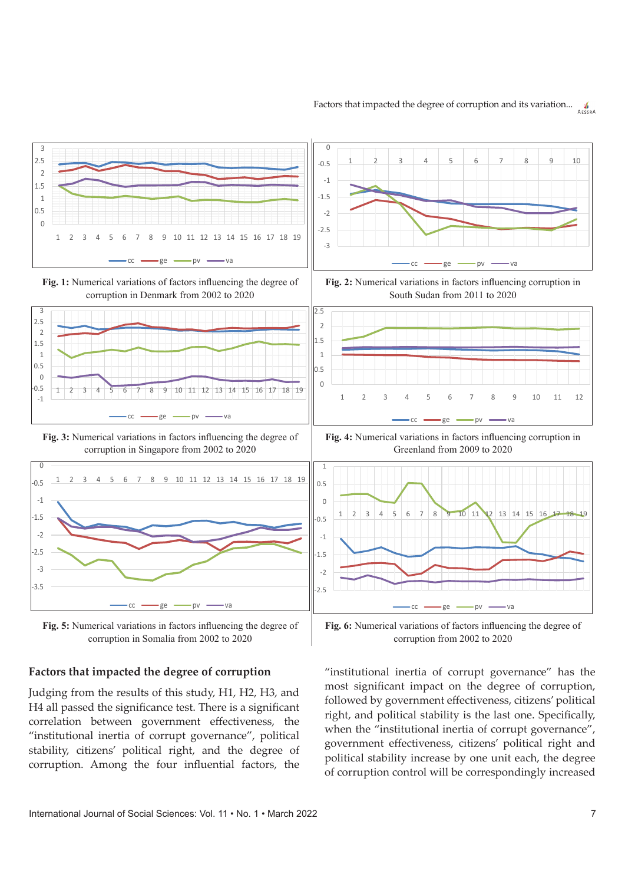



corruption in Somalia from 2002 to 2020

## **Factors that impacted the degree of corruption**

Judging from the results of this study, H1, H2, H3, and H4 all passed the significance test. There is a significant correlation between government effectiveness, the "institutional inertia of corrupt governance", political stability, citizens' political right, and the degree of corruption. Among the four influential factors, the

"institutional inertia of corrupt governance" has the most significant impact on the degree of corruption, followed by government effectiveness, citizens' political right, and political stability is the last one. Specifically, when the "institutional inertia of corrupt governance", government effectiveness, citizens' political right and political stability increase by one unit each, the degree of corruption control will be correspondingly increased

corruption from 2002 to 2020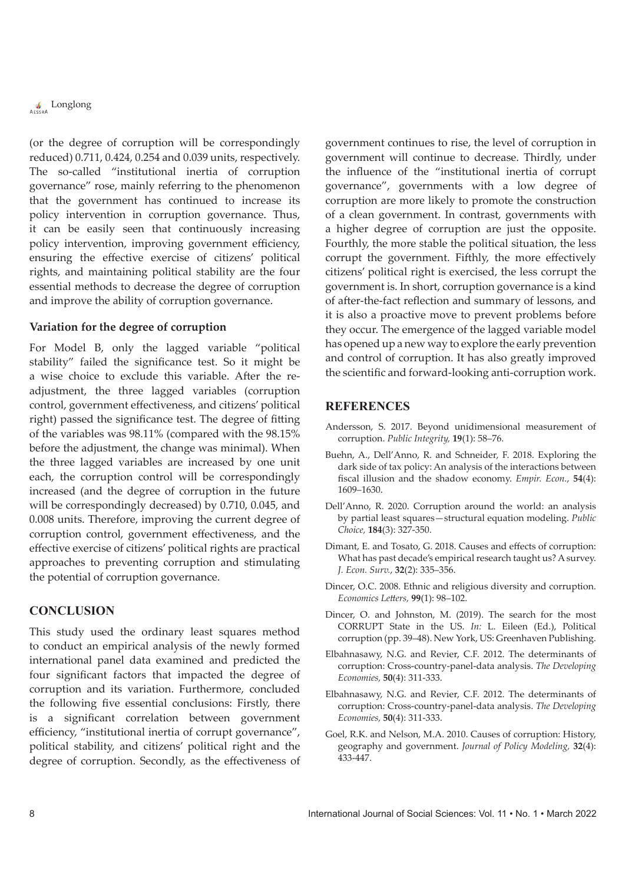# **Conglong**

(or the degree of corruption will be correspondingly reduced) 0.711, 0.424, 0.254 and 0.039 units, respectively. The so-called "institutional inertia of corruption governance" rose, mainly referring to the phenomenon that the government has continued to increase its policy intervention in corruption governance. Thus, it can be easily seen that continuously increasing policy intervention, improving government efficiency, ensuring the effective exercise of citizens' political rights, and maintaining political stability are the four essential methods to decrease the degree of corruption and improve the ability of corruption governance.

## **Variation for the degree of corruption**

For Model B, only the lagged variable "political stability" failed the significance test. So it might be a wise choice to exclude this variable. After the readjustment, the three lagged variables (corruption control, government effectiveness, and citizens' political right) passed the significance test. The degree of fitting of the variables was 98.11% (compared with the 98.15% before the adjustment, the change was minimal). When the three lagged variables are increased by one unit each, the corruption control will be correspondingly increased (and the degree of corruption in the future will be correspondingly decreased) by 0.710, 0.045, and 0.008 units. Therefore, improving the current degree of corruption control, government effectiveness, and the effective exercise of citizens' political rights are practical approaches to preventing corruption and stimulating the potential of corruption governance.

## **CONCLUSION**

This study used the ordinary least squares method to conduct an empirical analysis of the newly formed international panel data examined and predicted the four significant factors that impacted the degree of corruption and its variation. Furthermore, concluded the following five essential conclusions: Firstly, there is a significant correlation between government efficiency, "institutional inertia of corrupt governance", political stability, and citizens' political right and the degree of corruption. Secondly, as the effectiveness of

government continues to rise, the level of corruption in government will continue to decrease. Thirdly, under the influence of the "institutional inertia of corrupt governance", governments with a low degree of corruption are more likely to promote the construction of a clean government. In contrast, governments with a higher degree of corruption are just the opposite. Fourthly, the more stable the political situation, the less corrupt the government. Fifthly, the more effectively citizens' political right is exercised, the less corrupt the government is. In short, corruption governance is a kind of after-the-fact reflection and summary of lessons, and it is also a proactive move to prevent problems before they occur. The emergence of the lagged variable model has opened up a new way to explore the early prevention and control of corruption. It has also greatly improved the scientific and forward-looking anti-corruption work.

## **REFERENCES**

- Andersson, S. 2017. Beyond unidimensional measurement of corruption. *Public Integrity,* **19**(1): 58–76.
- Buehn, A., Dell'Anno, R. and Schneider, F. 2018. Exploring the dark side of tax policy: An analysis of the interactions between fiscal illusion and the shadow economy. *Empir. Econ.*, **54**(4): 1609–1630.
- Dell'Anno, R. 2020. Corruption around the world: an analysis by partial least squares—structural equation modeling. *Public Choice,* **184**(3): 327-350.
- Dimant, E. and Tosato, G. 2018. Causes and effects of corruption: What has past decade's empirical research taught us? A survey. *J. Econ. Surv.*, **32**(2): 335–356.
- Dincer, O.C. 2008. Ethnic and religious diversity and corruption. *Economics Letters,* **99**(1): 98–102.
- Dincer, O. and Johnston, M. (2019). The search for the most CORRUPT State in the US. *In:* L. Eileen (Ed.), Political corruption (pp. 39–48). New York, US: Greenhaven Publishing.
- Elbahnasawy, N.G. and Revier, C.F. 2012. The determinants of corruption: Cross-country-panel-data analysis. *The Developing Economies,* **50**(4): 311-333.
- Elbahnasawy, N.G. and Revier, C.F. 2012. The determinants of corruption: Cross-country-panel-data analysis. *The Developing Economies,* **50**(4): 311-333.
- Goel, R.K. and Nelson, M.A. 2010. Causes of corruption: History, geography and government. *Journal of Policy Modeling,* **32**(4): 433-447.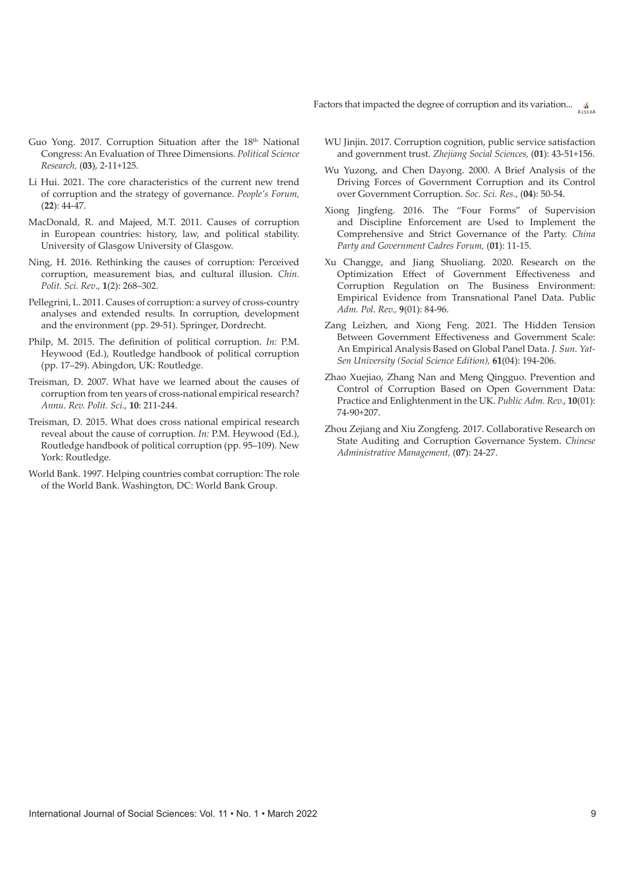Factors that impacted the degree of corruption and its variation...  $\int_{\text{Assna}}$ 

- Guo Yong. 2017. Corruption Situation after the 18<sup>th</sup> National Congress: An Evaluation of Three Dimensions. *Political Science Research,* (**03**), 2-11+125.
- Li Hui. 2021. The core characteristics of the current new trend of corruption and the strategy of governance. *People's Forum,*  (**22**): 44-47.
- MacDonald, R. and Majeed, M.T. 2011. Causes of corruption in European countries: history, law, and political stability. University of Glasgow University of Glasgow.
- Ning, H. 2016. Rethinking the causes of corruption: Perceived corruption, measurement bias, and cultural illusion. *Chin. Polit. Sci. Rev*., **1**(2): 268–302.
- Pellegrini, L. 2011. Causes of corruption: a survey of cross-country analyses and extended results. In corruption, development and the environment (pp. 29-51). Springer, Dordrecht.
- Philp, M. 2015. The definition of political corruption. *In:* P.M. Heywood (Ed.), Routledge handbook of political corruption (pp. 17–29). Abingdon, UK: Routledge.
- Treisman, D. 2007. What have we learned about the causes of corruption from ten years of cross-national empirical research? *Annu. Rev. Polit. Sci.*, **10**: 211-244.
- Treisman, D. 2015. What does cross national empirical research reveal about the cause of corruption. *In:* P.M. Heywood (Ed.), Routledge handbook of political corruption (pp. 95–109). New York: Routledge.
- World Bank. 1997. Helping countries combat corruption: The role of the World Bank. Washington, DC: World Bank Group.
- WU Jinjin. 2017. Corruption cognition, public service satisfaction and government trust. *Zhejiang Social Sciences,* (**01**): 43-51+156.
- Wu Yuzong, and Chen Dayong. 2000. A Brief Analysis of the Driving Forces of Government Corruption and its Control over Government Corruption. *Soc. Sci. Res.*, (**04**): 50-54.
- Xiong Jingfeng. 2016. The "Four Forms" of Supervision and Discipline Enforcement are Used to Implement the Comprehensive and Strict Governance of the Party. *China Party and Government Cadres Forum,* (**01**): 11-15.
- Xu Changge, and Jiang Shuoliang. 2020. Research on the Optimization Effect of Government Effectiveness and Corruption Regulation on The Business Environment: Empirical Evidence from Transnational Panel Data. Public *Adm. Pol. Rev.,* **9**(01): 84-96.
- Zang Leizhen, and Xiong Feng. 2021. The Hidden Tension Between Government Effectiveness and Government Scale: An Empirical Analysis Based on Global Panel Data. *J. Sun. Yat-Sen University (Social Science Edition),* **61**(04): 194-206.
- Zhao Xuejiao, Zhang Nan and Meng Qingguo. Prevention and Control of Corruption Based on Open Government Data: Practice and Enlightenment in the UK. *Public Adm. Rev.*, **10**(01): 74-90+207.
- Zhou Zejiang and Xiu Zongfeng. 2017. Collaborative Research on State Auditing and Corruption Governance System. *Chinese Administrative Management,* (**07**): 24-27.